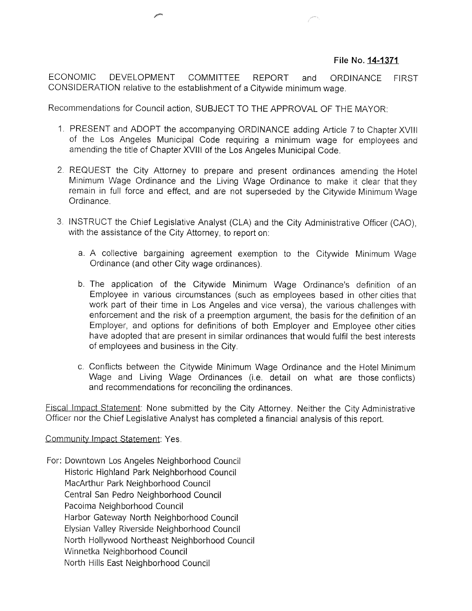## File No. 14-1371

ECONOMIC DEVELOPMENT COMMITTEE REPORT and ORDINANCE FIRST CONSIDERATION relative to the establishment of a Citywide minimum wage.

Recommendations for Council action, SUBJECT TO THE APPROVAL OF THE MAYOR:

- 1. PRESENT and ADOPT the accompanying ORDINANCE adding Article 7 to Chapter XVIII of the Los Angeles Municipal Code requiring a minimum wage for employees and amending the title of Chapter XVIII of the Los Angeles Municipal Code.
- 2. REQUEST the City Attorney to prepare and present ordinances amending the Hotel Minimum Wage Ordinance and the Living Wage Ordinance to make it clear that they remain in full force and effect, and are not superseded by the Citywide Minimum Wage Ordinance.
- 3. INSTRUCT the Chief Legislative Analyst (CLA) and the City Administrative Officer (CAO), with the assistance of the City Attorney, to report on:
	- a. A collective bargaining agreement exemption to the Citywide Minimum Wage Ordinance (and other City wage ordinances).
	- b. The application of the Citywide Minimum Wage Ordinance's definition of an Employee in various circumstances (such as employees based in other cities that work part of their time in Los Angeles and vice versa), the various challenges with enforcement and the risk of a preemption argument, the basis for the definition of an Employer, and options for definitions of both Employer and Employee other cities have adopted that are present in similar ordinances that would fulfil the best interests of employees and business in the City.
	- c. Conflicts between the Citywide Minimum Wage Ordinance and the Hotel Minimum Wage and Living Wage Ordinances (i.e. detail on what are those conflicts) and recommendations for reconciling the ordinances.

Fiscal Impact Statement: None submitted by the City Attorney. Neither the City Administrative Officer nor the Chief Legislative Analyst has completed a financial analysis of this report.

Community Impact Statement: Yes.

For: Downtown Los Angeles Neighborhood Council Historic Highland Park Neighborhood Council MacArthur Park Neighborhood Council Central San Pedro Neighborhood Council Pacoima Neighborhood Council Harbor Gateway North Neighborhood Council Elysian Valley Riverside Neighborhood Council North Hollywood Northeast Neighborhood Council Winnetka Neighborhood Council North Hills East Neighborhood Council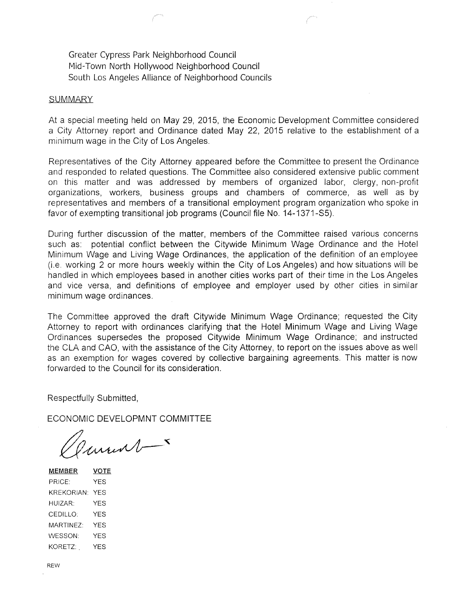Greater Cypress Park Neighborhood Council Mid-Town North Hollywood Neighborhood Council South Los Angeles Alliance of Neighborhood Councils

## **SUMMARY**

At a special meeting held on May 29, 2015, the Economic Development Committee considered a City Attorney report and Ordinance dated May 22, 2015 relative to the establishment of a minimum wage in the City of Los Angeles.

Representatives of the City Attorney appeared before the Committee to present the Ordinance and responded to related questions. The Committee also considered extensive public comment on this matter and was addressed by members of organized labor, clergy, non-profit organizations, workers, business groups and chambers of commerce, as well as by representatives and members of a transitional employment program organization who spoke in favor of exempting transitional job programs (Council file No. 14-1371-S5).

During further discussion of the matter, members of the Committee raised various concerns such as: potential conflict between the Citywide Minimum Wage Ordinance and the Hotel Minimum Wage and Living Wage Ordinances, the application of the definition of an employee (i.e. working 2 or more hours weekly within the City of Los Angeles) and how situations will be handled in which employees based in another cities works part of their time in the Los Angeles and vice versa, and definitions of employee and employer used by other cities in similar minimum wage ordinances.

The Committee approved the draft Citywide Minimum Wage Ordinance; requested the City Attorney to report with ordinances clarifying that the Hotel Minimum Wage and Living Wage Ordinances supersedes the proposed Citywide Minimum Wage Ordinance; and instructed the CLA and CAO, with the assistance of the City Attorney, to report on the issues above as well as an exemption for wages covered by collective bargaining agreements. This matter is now forwarded to the Council for its consideration.

Respectfully Submitted,

ECONOMIC DEVELOPMNT COMMITTEE

unent -

MEMBER VOTE PRICE: YES KREKORIAN: YES HUIZAR: YES CEDILLO: YES MARTINEZ: YES WESSON: YES KORETZ: YES